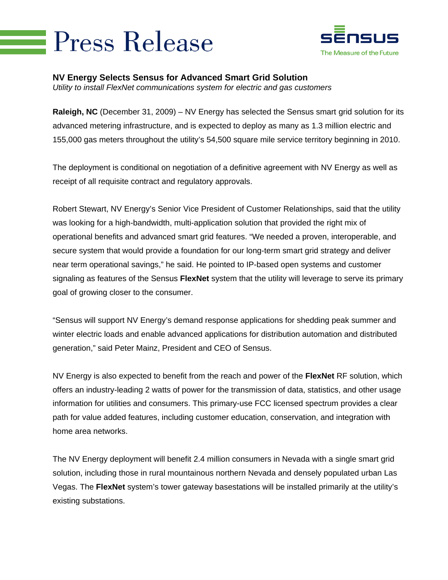## **Press Release**



## **NV Energy Selects Sensus for Advanced Smart Grid Solution**

*Utility to install FlexNet communications system for electric and gas customers* 

**Raleigh, NC** (December 31, 2009) – NV Energy has selected the Sensus smart grid solution for its advanced metering infrastructure, and is expected to deploy as many as 1.3 million electric and 155,000 gas meters throughout the utility's 54,500 square mile service territory beginning in 2010.

The deployment is conditional on negotiation of a definitive agreement with NV Energy as well as receipt of all requisite contract and regulatory approvals.

Robert Stewart, NV Energy's Senior Vice President of Customer Relationships, said that the utility was looking for a high-bandwidth, multi-application solution that provided the right mix of operational benefits and advanced smart grid features. "We needed a proven, interoperable, and secure system that would provide a foundation for our long-term smart grid strategy and deliver near term operational savings," he said. He pointed to IP-based open systems and customer signaling as features of the Sensus **FlexNet** system that the utility will leverage to serve its primary goal of growing closer to the consumer.

"Sensus will support NV Energy's demand response applications for shedding peak summer and winter electric loads and enable advanced applications for distribution automation and distributed generation," said Peter Mainz, President and CEO of Sensus.

NV Energy is also expected to benefit from the reach and power of the **FlexNet** RF solution, which offers an industry-leading 2 watts of power for the transmission of data, statistics, and other usage information for utilities and consumers. This primary-use FCC licensed spectrum provides a clear path for value added features, including customer education, conservation, and integration with home area networks.

The NV Energy deployment will benefit 2.4 million consumers in Nevada with a single smart grid solution, including those in rural mountainous northern Nevada and densely populated urban Las Vegas. The **FlexNet** system's tower gateway basestations will be installed primarily at the utility's existing substations.